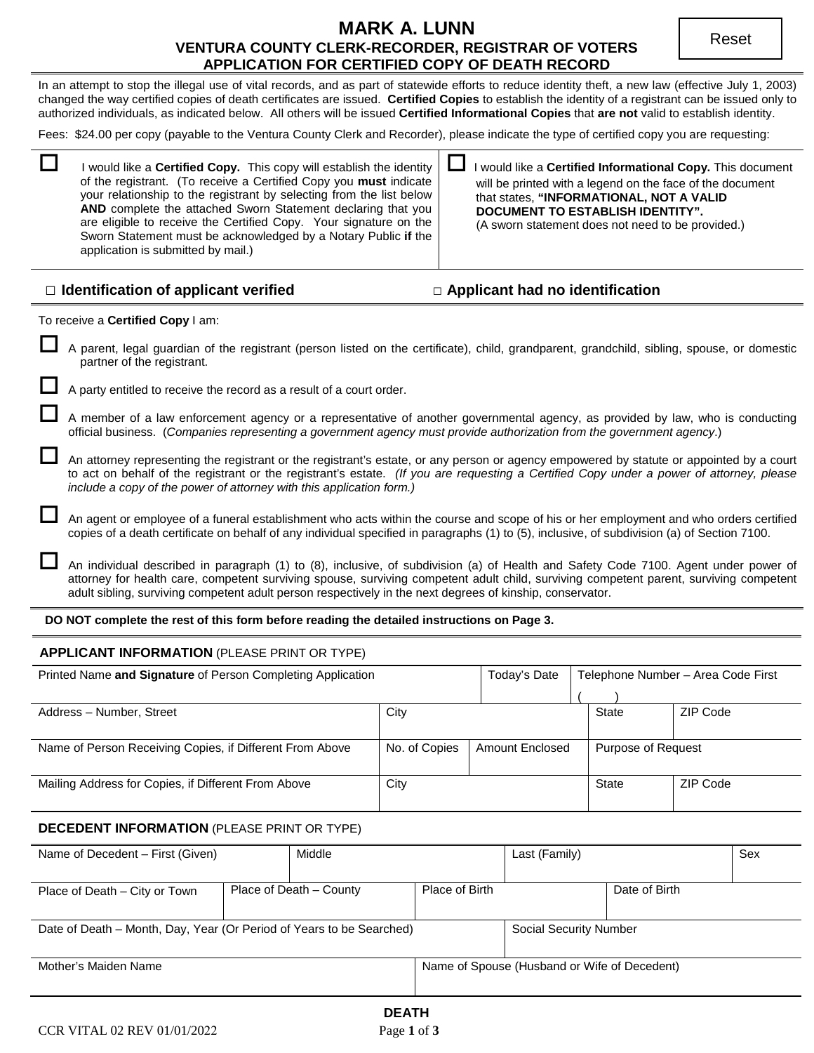# **MARK A. LUNN VENTURA COUNTY CLERK-RECORDER, REGISTRAR OF VOTERS APPLICATION FOR CERTIFIED COPY OF DEATH RECORD**

In an attempt to stop the illegal use of vital records, and as part of statewide efforts to reduce identity theft, a new law (effective July 1, 2003) changed the way certified copies of death certificates are issued. **Certified Copies** to establish the identity of a registrant can be issued only to authorized individuals, as indicated below. All others will be issued **Certified Informational Copies** that **are not** valid to establish identity.

Fees: \$24.00 per copy (payable to the Ventura County Clerk and Recorder), please indicate the type of certified copy you are requesting:

 I would like a **Certified Copy.** This copy will establish the identity of the registrant. (To receive a Certified Copy you **must** indicate your relationship to the registrant by selecting from the list below **AND** complete the attached Sworn Statement declaring that you are eligible to receive the Certified Copy. Your signature on the Sworn Statement must be acknowledged by a Notary Public **if** the application is submitted by mail.)

 I would like a **Certified Informational Copy.** This document will be printed with a legend on the face of the document that states, **"INFORMATIONAL, NOT A VALID DOCUMENT TO ESTABLISH IDENTITY".** (A sworn statement does not need to be provided.)

# **□ Identification of applicant verified □ Applicant had no identification**

To receive a **Certified Copy** I am:

 A parent, legal guardian of the registrant (person listed on the certificate), child, grandparent, grandchild, sibling, spouse, or domestic partner of the registrant.

A party entitled to receive the record as a result of a court order.

 A member of a law enforcement agency or a representative of another governmental agency, as provided by law, who is conducting official business. (*Companies representing a government agency must provide authorization from the government agency*.)

 An attorney representing the registrant or the registrant's estate, or any person or agency empowered by statute or appointed by a court to act on behalf of the registrant or the registrant's estate. *(If you are requesting a Certified Copy under a power of attorney, please include a copy of the power of attorney with this application form.)*

 An agent or employee of a funeral establishment who acts within the course and scope of his or her employment and who orders certified copies of a death certificate on behalf of any individual specified in paragraphs (1) to (5), inclusive, of subdivision (a) of Section 7100.

 An individual described in paragraph (1) to (8), inclusive, of subdivision (a) of Health and Safety Code 7100. Agent under power of attorney for health care, competent surviving spouse, surviving competent adult child, surviving competent parent, surviving competent adult sibling, surviving competent adult person respectively in the next degrees of kinship, conservator.

#### **DO NOT complete the rest of this form before reading the detailed instructions on Page 3.**

# **APPLICANT INFORMATION** (PLEASE PRINT OR TYPE)

| Printed Name and Signature of Person Completing Application |                                         | Today's Date | Telephone Number - Area Code First |                    |  |
|-------------------------------------------------------------|-----------------------------------------|--------------|------------------------------------|--------------------|--|
|                                                             |                                         |              |                                    |                    |  |
| Address - Number, Street                                    | City                                    |              | State                              | ZIP Code           |  |
|                                                             |                                         |              |                                    |                    |  |
| Name of Person Receiving Copies, if Different From Above    | No. of Copies<br><b>Amount Enclosed</b> |              |                                    | Purpose of Request |  |
|                                                             |                                         |              |                                    |                    |  |
| Mailing Address for Copies, if Different From Above         | City                                    |              | State                              | ZIP Code           |  |
|                                                             |                                         |              |                                    |                    |  |

# **DECEDENT INFORMATION** (PLEASE PRINT OR TYPE)

| Name of Decedent – First (Given)                                     |  | Middle                                       |                | Last (Family) |               | Sex |
|----------------------------------------------------------------------|--|----------------------------------------------|----------------|---------------|---------------|-----|
|                                                                      |  |                                              |                |               |               |     |
| Place of Death – City or Town                                        |  | Place of Death – County                      | Place of Birth |               | Date of Birth |     |
|                                                                      |  |                                              |                |               |               |     |
| Date of Death – Month, Day, Year (Or Period of Years to be Searched) |  | Social Security Number                       |                |               |               |     |
|                                                                      |  |                                              |                |               |               |     |
| Mother's Maiden Name                                                 |  | Name of Spouse (Husband or Wife of Decedent) |                |               |               |     |
|                                                                      |  |                                              |                |               |               |     |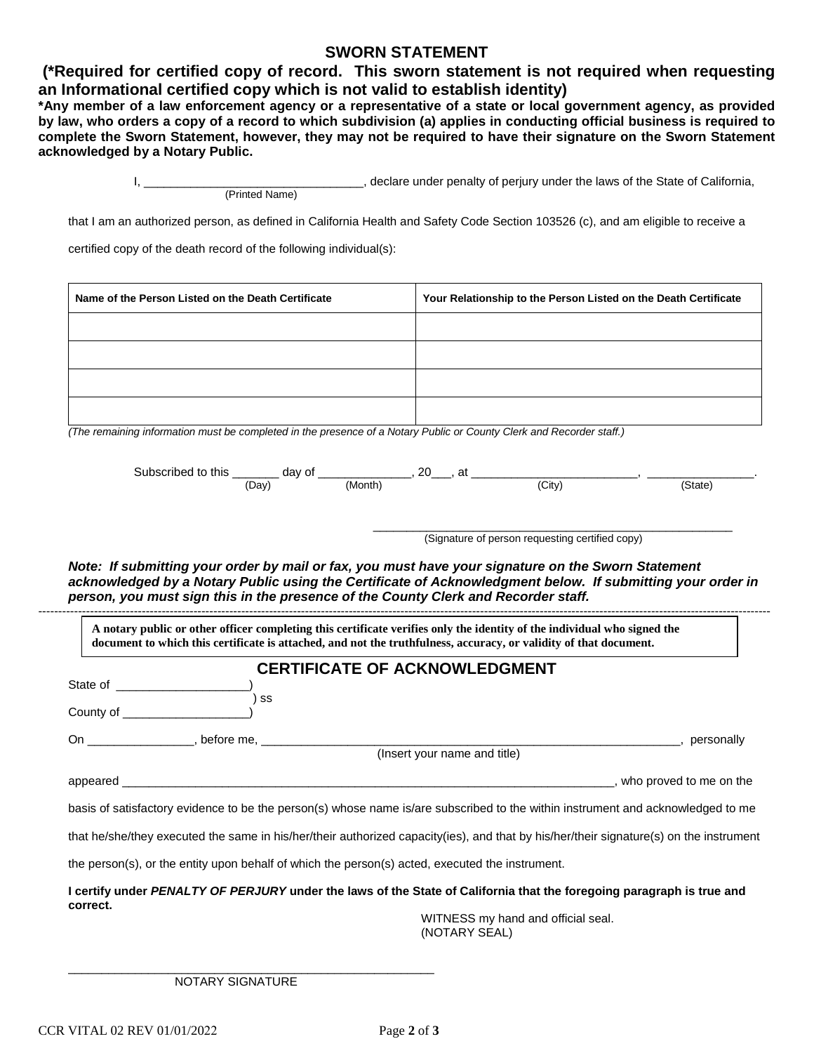# **SWORN STATEMENT**

**(\*Required for certified copy of record. This sworn statement is not required when requesting an Informational certified copy which is not valid to establish identity)**

**\*Any member of a law enforcement agency or a representative of a state or local government agency, as provided by law, who orders a copy of a record to which subdivision (a) applies in conducting official business is required to complete the Sworn Statement, however, they may not be required to have their signature on the Sworn Statement acknowledged by a Notary Public.**

> I, \_\_\_\_\_\_\_\_\_\_\_\_\_\_\_\_\_\_\_\_\_\_\_\_\_\_\_\_, declare under penalty of perjury under the laws of the State of California, (Printed Name)

that I am an authorized person, as defined in California Health and Safety Code Section 103526 (c), and am eligible to receive a

certified copy of the death record of the following individual(s):

| Name of the Person Listed on the Death Certificate | Your Relationship to the Person Listed on the Death Certificate |
|----------------------------------------------------|-----------------------------------------------------------------|
|                                                    |                                                                 |
|                                                    |                                                                 |
|                                                    |                                                                 |
|                                                    |                                                                 |

*(The remaining information must be completed in the presence of a Notary Public or County Clerk and Recorder staff.)*

| Subscribed<br>this<br>tΩ.<br>$-$ | Οt<br>dav | or<br>. . | at |                   |            |
|----------------------------------|-----------|-----------|----|-------------------|------------|
|                                  | Day       | Month     |    | City <sup>'</sup> | state<br>. |

\_\_\_\_\_\_\_\_\_\_\_\_\_\_\_\_\_\_\_\_\_\_\_\_\_\_\_\_\_\_\_\_\_\_\_\_\_\_\_\_\_\_\_\_\_\_\_\_\_\_\_\_\_\_ (Signature of person requesting certified copy)

*Note: If submitting your order by mail or fax, you must have your signature on the Sworn Statement acknowledged by a Notary Public using the Certificate of Acknowledgment below. If submitting your order in person, you must sign this in the presence of the County Clerk and Recorder staff.* ----------------------------------------------------------------------------------------------------------------------------------------------------------------------------------------

**A notary public or other officer completing this certificate verifies only the identity of the individual who signed the document to which this certificate is attached, and not the truthfulness, accuracy, or validity of that document.**

|                                                                                                                                                                                                                                                                           | <b>CERTIFICATE OF ACKNOWLEDGMENT</b>                                                                                                   |
|---------------------------------------------------------------------------------------------------------------------------------------------------------------------------------------------------------------------------------------------------------------------------|----------------------------------------------------------------------------------------------------------------------------------------|
| State of the state of the state of the state of the state of the state of the state of the state of the state o                                                                                                                                                           |                                                                                                                                        |
| County of $\frac{1}{2}$ county of $\frac{1}{2}$ county of $\frac{1}{2}$ county of $\frac{1}{2}$ county of $\frac{1}{2}$ county of $\frac{1}{2}$ county of $\frac{1}{2}$ county of $\frac{1}{2}$ county of $\frac{1}{2}$ county of $\frac{1}{2}$ county of $\frac{1}{2}$ c | SS                                                                                                                                     |
|                                                                                                                                                                                                                                                                           | externally, personally                                                                                                                 |
|                                                                                                                                                                                                                                                                           | (Insert your name and title)                                                                                                           |
| appeared and the contract of the contract of the contract of the contract of the contract of the contract of the contract of the contract of the contract of the contract of the contract of the contract of the contract of t                                            | __, who proved to me on the                                                                                                            |
|                                                                                                                                                                                                                                                                           | basis of satisfactory evidence to be the person(s) whose name is/are subscribed to the within instrument and acknowledged to me        |
|                                                                                                                                                                                                                                                                           | that he/she/they executed the same in his/her/their authorized capacity(ies), and that by his/her/their signature(s) on the instrument |
|                                                                                                                                                                                                                                                                           | the person(s), or the entity upon behalf of which the person(s) acted, executed the instrument.                                        |
| correct.                                                                                                                                                                                                                                                                  | I certify under PENALTY OF PERJURY under the laws of the State of California that the foregoing paragraph is true and                  |
|                                                                                                                                                                                                                                                                           | $\frac{1}{2}$                                                                                                                          |

WITNESS my hand and official seal. (NOTARY SEAL)

\_\_\_\_\_\_\_\_\_\_\_\_\_\_\_\_\_\_\_\_\_\_\_\_\_\_\_\_\_\_\_\_\_\_\_\_\_\_\_\_\_\_\_\_\_\_\_\_\_\_\_\_\_\_\_ NOTARY SIGNATURE